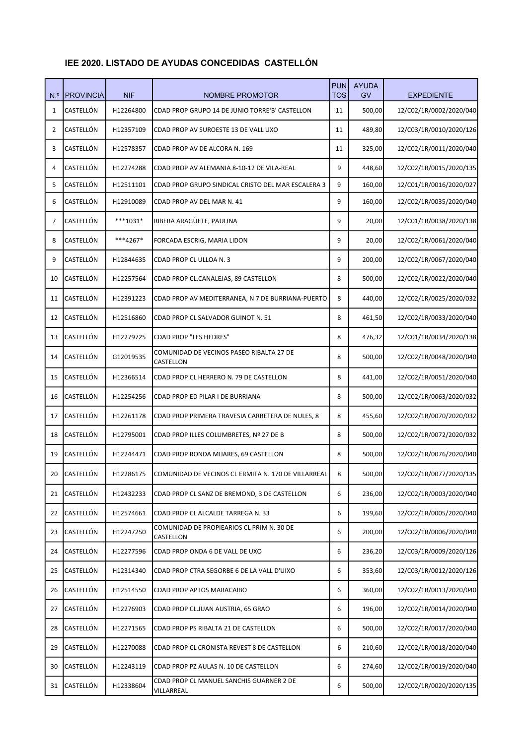| N <sup>o</sup> | <b>PROVINCIA</b> | <b>NIF</b> | NOMBRE PROMOTOR                                        | <b>PUN</b><br><b>TOS</b> | <b>AYUDA</b><br>GV | <b>EXPEDIENTE</b>       |
|----------------|------------------|------------|--------------------------------------------------------|--------------------------|--------------------|-------------------------|
| $\mathbf{1}$   | CASTELLÓN        | H12264800  | CDAD PROP GRUPO 14 DE JUNIO TORRE'B' CASTELLON         | 11                       | 500,00             | 12/C02/1R/0002/2020/040 |
| 2              | CASTELLÓN        | H12357109  | CDAD PROP AV SUROESTE 13 DE VALL UXO                   | 11                       | 489,80             | 12/C03/1R/0010/2020/126 |
| 3              | CASTELLÓN        | H12578357  | CDAD PROP AV DE ALCORA N. 169                          | 11                       | 325,00             | 12/C02/1R/0011/2020/040 |
| 4              | CASTELLÓN        | H12274288  | CDAD PROP AV ALEMANIA 8-10-12 DE VILA-REAL             | 9                        | 448,60             | 12/C02/1R/0015/2020/135 |
| 5              | CASTELLÓN        | H12511101  | CDAD PROP GRUPO SINDICAL CRISTO DEL MAR ESCALERA 3     | 9                        | 160,00             | 12/C01/1R/0016/2020/027 |
| 6              | CASTELLÓN        | H12910089  | CDAD PROP AV DEL MAR N. 41                             | 9                        | 160,00             | 12/C02/1R/0035/2020/040 |
| 7              | CASTELLÓN        | $***1031*$ | RIBERA ARAGÜETE, PAULINA                               | 9                        | 20,00              | 12/C01/1R/0038/2020/138 |
| 8              | CASTELLÓN        | ***4267*   | FORCADA ESCRIG, MARIA LIDON                            | 9                        | 20,00              | 12/C02/1R/0061/2020/040 |
| 9              | CASTELLÓN        | H12844635  | CDAD PROP CL ULLOA N. 3                                | 9                        | 200,00             | 12/C02/1R/0067/2020/040 |
| 10             | CASTELLÓN        | H12257564  | CDAD PROP CL.CANALEJAS, 89 CASTELLON                   | 8                        | 500,00             | 12/C02/1R/0022/2020/040 |
| 11             | CASTELLÓN        | H12391223  | CDAD PROP AV MEDITERRANEA, N 7 DE BURRIANA-PUERTO      | 8                        | 440,00             | 12/C02/1R/0025/2020/032 |
| 12             | CASTELLÓN        | H12516860  | CDAD PROP CL SALVADOR GUINOT N. 51                     | 8                        | 461,50             | 12/C02/1R/0033/2020/040 |
| 13             | CASTELLÓN        | H12279725  | <b>CDAD PROP "LES HEDRES"</b>                          | 8                        | 476,32             | 12/C01/1R/0034/2020/138 |
| 14             | CASTELLÓN        | G12019535  | COMUNIDAD DE VECINOS PASEO RIBALTA 27 DE<br>CASTELLON  | 8                        | 500,00             | 12/C02/1R/0048/2020/040 |
| 15             | CASTELLÓN        | H12366514  | CDAD PROP CL HERRERO N. 79 DE CASTELLON                | 8                        | 441,00             | 12/C02/1R/0051/2020/040 |
| 16             | CASTELLÓN        | H12254256  | CDAD PROP ED PILAR I DE BURRIANA                       | 8                        | 500,00             | 12/C02/1R/0063/2020/032 |
| 17             | CASTELLÓN        | H12261178  | CDAD PROP PRIMERA TRAVESIA CARRETERA DE NULES, 8       | 8                        | 455,60             | 12/C02/1R/0070/2020/032 |
| 18             | CASTELLÓN        | H12795001  | CDAD PROP ILLES COLUMBRETES, Nº 27 DE B                | 8                        | 500,00             | 12/C02/1R/0072/2020/032 |
| 19             | CASTELLÓN        | H12244471  | CDAD PROP RONDA MIJARES, 69 CASTELLON                  | 8                        | 500,00             | 12/C02/1R/0076/2020/040 |
| 20             | CASTELLÓN        | H12286175  | COMUNIDAD DE VECINOS CL ERMITA N. 170 DE VILLARREAL    | 8                        | 500,00             | 12/C02/1R/0077/2020/135 |
| 21             | CASTELLÓN        | H12432233  | CDAD PROP CL SANZ DE BREMOND, 3 DE CASTELLON           | 6                        | 236,00             | 12/C02/1R/0003/2020/040 |
| 22             | CASTELLÓN        | H12574661  | CDAD PROP CL ALCALDE TARREGA N. 33                     | 6                        | 199,60             | 12/C02/1R/0005/2020/040 |
| 23             | CASTELLÓN        | H12247250  | COMUNIDAD DE PROPIEARIOS CL PRIM N. 30 DE<br>CASTELLON | 6                        | 200,00             | 12/C02/1R/0006/2020/040 |
| 24             | CASTELLÓN        | H12277596  | CDAD PROP ONDA 6 DE VALL DE UXO                        | 6                        | 236,20             | 12/C03/1R/0009/2020/126 |
| 25             | CASTELLÓN        | H12314340  | CDAD PROP CTRA SEGORBE 6 DE LA VALL D'UIXO             | 6                        | 353,60             | 12/C03/1R/0012/2020/126 |
| 26             | CASTELLÓN        | H12514550  | CDAD PROP APTOS MARACAIBO                              | 6                        | 360,00             | 12/C02/1R/0013/2020/040 |
| 27             | CASTELLÓN        | H12276903  | CDAD PROP CL.JUAN AUSTRIA, 65 GRAO                     | 6                        | 196,00             | 12/C02/1R/0014/2020/040 |
| 28             | CASTELLÓN        | H12271565  | CDAD PROP PS RIBALTA 21 DE CASTELLON                   | 6                        | 500,00             | 12/C02/1R/0017/2020/040 |
| 29             | CASTELLÓN        | H12270088  | CDAD PROP CL CRONISTA REVEST 8 DE CASTELLON            | 6                        | 210,60             | 12/C02/1R/0018/2020/040 |
| 30             | CASTELLÓN        | H12243119  | CDAD PROP PZ AULAS N. 10 DE CASTELLON                  | 6                        | 274,60             | 12/C02/1R/0019/2020/040 |
| 31             | CASTELLÓN        | H12338604  | CDAD PROP CL MANUEL SANCHIS GUARNER 2 DE<br>VILLARREAL | 6                        | 500,00             | 12/C02/1R/0020/2020/135 |

## IEE 2020. LISTADO DE AYUDAS CONCEDIDAS CASTELLÓN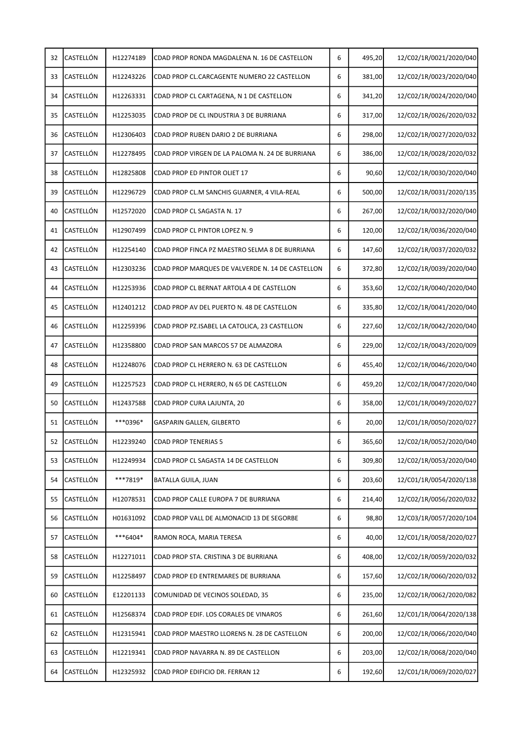| 32 | CASTELLÓN        | H12274189 | CDAD PROP RONDA MAGDALENA N. 16 DE CASTELLON     | 6 | 495,20 | 12/C02/1R/0021/2020/040 |
|----|------------------|-----------|--------------------------------------------------|---|--------|-------------------------|
| 33 | CASTELLÓN        | H12243226 | CDAD PROP CL.CARCAGENTE NUMERO 22 CASTELLON      | 6 | 381,00 | 12/C02/1R/0023/2020/040 |
| 34 | CASTELLÓN        | H12263331 | CDAD PROP CL CARTAGENA, N 1 DE CASTELLON         | 6 | 341,20 | 12/C02/1R/0024/2020/040 |
| 35 | CASTELLÓN        | H12253035 | CDAD PROP DE CL INDUSTRIA 3 DE BURRIANA          | 6 | 317,00 | 12/C02/1R/0026/2020/032 |
| 36 | CASTELLÓN        | H12306403 | CDAD PROP RUBEN DARIO 2 DE BURRIANA              | 6 | 298,00 | 12/C02/1R/0027/2020/032 |
| 37 | CASTELLÓN        | H12278495 | CDAD PROP VIRGEN DE LA PALOMA N. 24 DE BURRIANA  | 6 | 386,00 | 12/C02/1R/0028/2020/032 |
| 38 | CASTELLÓN        | H12825808 | CDAD PROP ED PINTOR OLIET 17                     | 6 | 90,60  | 12/C02/1R/0030/2020/040 |
| 39 | CASTELLÓN        | H12296729 | CDAD PROP CL.M SANCHIS GUARNER, 4 VILA-REAL      | 6 | 500,00 | 12/C02/1R/0031/2020/135 |
| 40 | CASTELLÓN        | H12572020 | CDAD PROP CL SAGASTA N. 17                       | 6 | 267,00 | 12/C02/1R/0032/2020/040 |
| 41 | CASTELLÓN        | H12907499 | CDAD PROP CL PINTOR LOPEZ N. 9                   | 6 | 120,00 | 12/C02/1R/0036/2020/040 |
| 42 | CASTELLÓN        | H12254140 | CDAD PROP FINCA PZ MAESTRO SELMA 8 DE BURRIANA   | 6 | 147,60 | 12/C02/1R/0037/2020/032 |
| 43 | CASTELLÓN        | H12303236 | CDAD PROP MARQUES DE VALVERDE N. 14 DE CASTELLON | 6 | 372,80 | 12/C02/1R/0039/2020/040 |
| 44 | CASTELLÓN        | H12253936 | CDAD PROP CL BERNAT ARTOLA 4 DE CASTELLON        | 6 | 353,60 | 12/C02/1R/0040/2020/040 |
| 45 | CASTELLÓN        | H12401212 | CDAD PROP AV DEL PUERTO N. 48 DE CASTELLON       | 6 | 335,80 | 12/C02/1R/0041/2020/040 |
| 46 | CASTELLÓN        | H12259396 | CDAD PROP PZ.ISABEL LA CATOLICA, 23 CASTELLON    | 6 | 227,60 | 12/C02/1R/0042/2020/040 |
| 47 | CASTELLÓN        | H12358800 | CDAD PROP SAN MARCOS 57 DE ALMAZORA              | 6 | 229,00 | 12/C02/1R/0043/2020/009 |
| 48 | CASTELLÓN        | H12248076 | CDAD PROP CL HERRERO N. 63 DE CASTELLON          | 6 | 455,40 | 12/C02/1R/0046/2020/040 |
| 49 | CASTELLÓN        | H12257523 | CDAD PROP CL HERRERO, N 65 DE CASTELLON          | 6 | 459,20 | 12/C02/1R/0047/2020/040 |
| 50 | CASTELLÓN        | H12437588 | CDAD PROP CURA LAJUNTA, 20                       | 6 | 358,00 | 12/C01/1R/0049/2020/027 |
| 51 | CASTELLÓN        | ***0396*  | GASPARIN GALLEN, GILBERTO                        | 6 | 20,00  | 12/C01/1R/0050/2020/027 |
| 52 | CASTELLÓN        | H12239240 | <b>CDAD PROP TENERIAS 5</b>                      | 6 | 365,60 | 12/C02/1R/0052/2020/040 |
| 53 | <b>CASTELLÓN</b> | H12249934 | CDAD PROP CL SAGASTA 14 DE CASTELLON             | 6 | 309,80 | 12/C02/1R/0053/2020/040 |
| 54 | CASTELLÓN        | ***7819*  | BATALLA GUILA, JUAN                              | 6 | 203,60 | 12/C01/1R/0054/2020/138 |
| 55 | CASTELLÓN        | H12078531 | CDAD PROP CALLE EUROPA 7 DE BURRIANA             | 6 | 214,40 | 12/C02/1R/0056/2020/032 |
| 56 | CASTELLÓN        | H01631092 | CDAD PROP VALL DE ALMONACID 13 DE SEGORBE        | 6 | 98,80  | 12/C03/1R/0057/2020/104 |
| 57 | CASTELLÓN        | ***6404*  | RAMON ROCA, MARIA TERESA                         | 6 | 40,00  | 12/C01/1R/0058/2020/027 |
| 58 | CASTELLÓN        | H12271011 | CDAD PROP STA. CRISTINA 3 DE BURRIANA            | 6 | 408,00 | 12/C02/1R/0059/2020/032 |
| 59 | CASTELLÓN        | H12258497 | CDAD PROP ED ENTREMARES DE BURRIANA              | 6 | 157,60 | 12/C02/1R/0060/2020/032 |
| 60 | CASTELLÓN        | E12201133 | COMUNIDAD DE VECINOS SOLEDAD, 35                 | 6 | 235,00 | 12/C02/1R/0062/2020/082 |
| 61 | CASTELLÓN        | H12568374 | CDAD PROP EDIF. LOS CORALES DE VINAROS           | 6 | 261,60 | 12/C01/1R/0064/2020/138 |
| 62 | CASTELLÓN        | H12315941 | CDAD PROP MAESTRO LLORENS N. 28 DE CASTELLON     | 6 | 200,00 | 12/C02/1R/0066/2020/040 |
| 63 | CASTELLÓN        | H12219341 | CDAD PROP NAVARRA N. 89 DE CASTELLON             | 6 | 203,00 | 12/C02/1R/0068/2020/040 |
| 64 | CASTELLÓN        | H12325932 | CDAD PROP EDIFICIO DR. FERRAN 12                 | 6 | 192,60 | 12/C01/1R/0069/2020/027 |